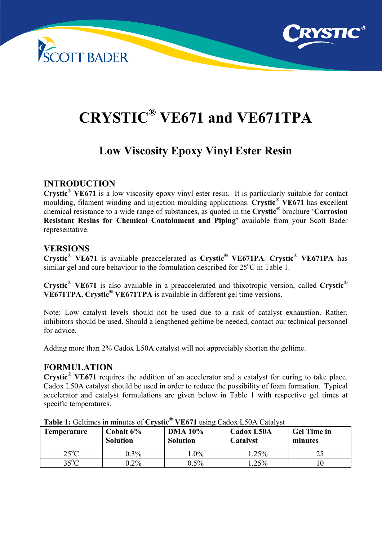



# **CRYSTIC® VE671 and VE671TPA**

# **Low Viscosity Epoxy Vinyl Ester Resin**

# **INTRODUCTION**

**Crystic® VE671** is a low viscosity epoxy vinyl ester resin. It is particularly suitable for contact moulding, filament winding and injection moulding applications. **Crystic® VE671** has excellent chemical resistance to a wide range of substances, as quoted in the **Crystic®** brochure '**Corrosion Resistant Resins for Chemical Containment and Piping'** available from your Scott Bader representative.

# **VERSIONS**

**Crystic® VE671** is available preaccelerated as **Crystic® VE671PA**. **Crystic® VE671PA** has similar gel and cure behaviour to the formulation described for  $25^{\circ}$ C in Table 1.

**Crystic® VE671** is also available in a preaccelerated and thixotropic version, called **Crystic® VE671TPA. Crystic® VE671TPA** is available in different gel time versions.

Note: Low catalyst levels should not be used due to a risk of catalyst exhaustion. Rather, inhibitors should be used. Should a lengthened geltime be needed, contact our technical personnel for advice.

Adding more than 2% Cadox L50A catalyst will not appreciably shorten the geltime.

#### **FORMULATION**

**Crystic<sup>®</sup> VE671** requires the addition of an accelerator and a catalyst for curing to take place. Cadox L50A catalyst should be used in order to reduce the possibility of foam formation. Typical accelerator and catalyst formulations are given below in Table 1 with respective gel times at specific temperatures.

| <b>Temperature</b> | Cobalt 6%<br><b>Solution</b> | <b>DMA 10%</b><br><b>Solution</b> | Cadox L50A<br><b>Catalyst</b> | <b>Gel Time in</b><br>minutes |
|--------------------|------------------------------|-----------------------------------|-------------------------------|-------------------------------|
| $25^{\circ}$ C     | $0.3\%$                      | $.0\%$                            | $1.25\%$                      |                               |
| $35^{\circ}$ C     | $0.2\%$                      | $0.5\%$                           | $.25\%$                       |                               |

**Table 1:** Geltimes in minutes of **Crystic® VE671** using Cadox L50A Catalyst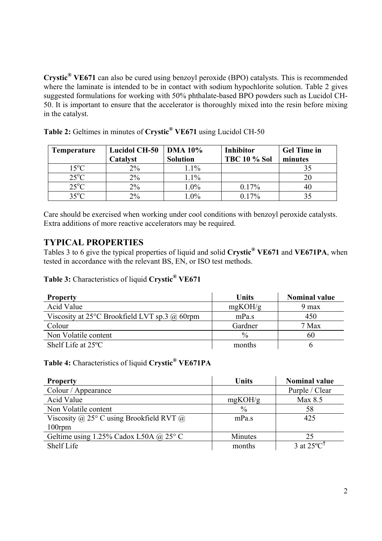**Crystic® VE671** can also be cured using benzoyl peroxide (BPO) catalysts. This is recommended where the laminate is intended to be in contact with sodium hypochlorite solution. Table 2 gives suggested formulations for working with 50% phthalate-based BPO powders such as Lucidol CH-50. It is important to ensure that the accelerator is thoroughly mixed into the resin before mixing in the catalyst.

| <b>Temperature</b> | <b>Lucidol CH-50</b><br>Catalyst | <b>DMA 10%</b><br><b>Solution</b> | <b>Inhibitor</b><br><b>TBC 10 % Sol</b> | <b>Gel Time in</b><br>minutes |
|--------------------|----------------------------------|-----------------------------------|-----------------------------------------|-------------------------------|
| $15^{\circ}$ C     | 2%                               | $1.1\%$                           |                                         |                               |
| $25^{\circ}$ C     | $2\%$                            | 1.1%                              |                                         |                               |
| $25^{\circ}$ C     | 2%                               | 1.0%                              | 0.17%                                   |                               |
| $35^{\circ}$ C     | 2%                               | $1.0\%$                           | $0.17\%$                                |                               |

**Table 2:** Geltimes in minutes of **Crystic® VE671** using Lucidol CH-50

Care should be exercised when working under cool conditions with benzoyl peroxide catalysts. Extra additions of more reactive accelerators may be required.

# **TYPICAL PROPERTIES**

Tables 3 to 6 give the typical properties of liquid and solid **Crystic® VE671** and **VE671PA**, when tested in accordance with the relevant BS, EN, or ISO test methods.

# **Table 3:** Characteristics of liquid **Crystic® VE671**

| <b>Property</b>                                         | <b>Units</b>  | <b>Nominal value</b> |
|---------------------------------------------------------|---------------|----------------------|
| Acid Value                                              | mgKOH/g       | 9 max                |
| Viscosity at 25 $\degree$ C Brookfield LVT sp.3 @ 60rpm | mPa.s         | 450                  |
| Colour                                                  | Gardner       | 7 Max                |
| Non Volatile content                                    | $\frac{0}{0}$ | 60                   |
| Shelf Life at $25^{\circ}$ C                            | months        |                      |

## **Table 4:** Characteristics of liquid **Crystic® VE671PA**

| <b>Property</b>                                   | <b>Units</b>  | <b>Nominal value</b>             |
|---------------------------------------------------|---------------|----------------------------------|
| Colour / Appearance                               |               | Purple / Clear                   |
| Acid Value                                        | mgKOH/g       | Max 8.5                          |
| Non Volatile content                              | $\frac{0}{0}$ | 58                               |
| Viscosity @ 25 $\degree$ C using Brookfield RVT @ | mPa.s         | 425                              |
| $100$ rpm                                         |               |                                  |
| Geltime using 1.25% Cadox L50A @ 25 $\degree$ C   | Minutes       | 25                               |
| Shelf Life                                        | months        | 3 at $25^{\circ}$ C <sup>†</sup> |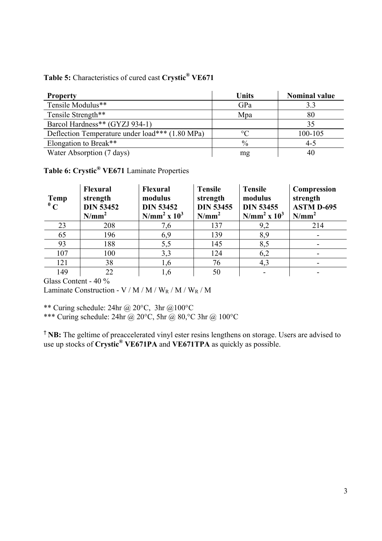|  | Table 5: Characteristics of cured cast Crystic® VE671 |  |  |  |
|--|-------------------------------------------------------|--|--|--|
|--|-------------------------------------------------------|--|--|--|

| <b>Property</b>                                 | <b>Units</b>  | <b>Nominal value</b> |
|-------------------------------------------------|---------------|----------------------|
| Tensile Modulus**                               | GPa           | 3.3                  |
| Tensile Strength**                              | Mpa           | 80                   |
| Barcol Hardness** (GYZJ 934-1)                  |               | 35                   |
| Deflection Temperature under load*** (1.80 MPa) | ∘∩            | 100-105              |
| Elongation to Break**                           | $\frac{0}{0}$ | $4 - 5$              |
| Water Absorption (7 days)                       | mg            | 40                   |

# **Table 6: Crystic® VE671** Laminate Properties

| <b>Temp</b><br>$\mathbf{C}$ | <b>Flexural</b><br>strength<br><b>DIN 53452</b><br>$N/mm^2$ | <b>Flexural</b><br>modulus<br><b>DIN 53452</b><br>$N/mm^2$ x $10^3$ | <b>Tensile</b><br>strength<br><b>DIN 53455</b><br>$N/mm^2$ | <b>Tensile</b><br>modulus<br><b>DIN 53455</b><br>$N/mm^2$ x $10^3$ | <b>Compression</b><br>strength<br><b>ASTM D-695</b><br>$N/mm^2$ |
|-----------------------------|-------------------------------------------------------------|---------------------------------------------------------------------|------------------------------------------------------------|--------------------------------------------------------------------|-----------------------------------------------------------------|
| 23                          | 208                                                         | 7,6                                                                 | 137                                                        | 9,2                                                                | 214                                                             |
| 65                          | 196                                                         | 6,9                                                                 | 139                                                        | 8,9                                                                |                                                                 |
| 93                          | 188                                                         | 5,5                                                                 | 145                                                        | 8,5                                                                |                                                                 |
| 107                         | 100                                                         | 3,3                                                                 | 124                                                        | 6,2                                                                |                                                                 |
| 121                         | 38                                                          | 1,6                                                                 | 76                                                         | 4,3                                                                |                                                                 |
| 149                         | 22                                                          | 1,6                                                                 | 50                                                         | -                                                                  |                                                                 |

Glass Content - 40 %

Laminate Construction - V / M / M /  $\rm W_R$  / M /  $\rm W_R$  /  $\rm M$ 

\*\* Curing schedule: 24hr @ 20 $^{\circ}$ C, 3hr @ 100 $^{\circ}$ C

\*\*\* Curing schedule: 24hr @ 20°C, 5hr @ 80,°C 3hr @ 100°C

† **NB:** The geltime of preaccelerated vinyl ester resins lengthens on storage. Users are advised to use up stocks of **Crystic® VE671PA** and **VE671TPA** as quickly as possible.